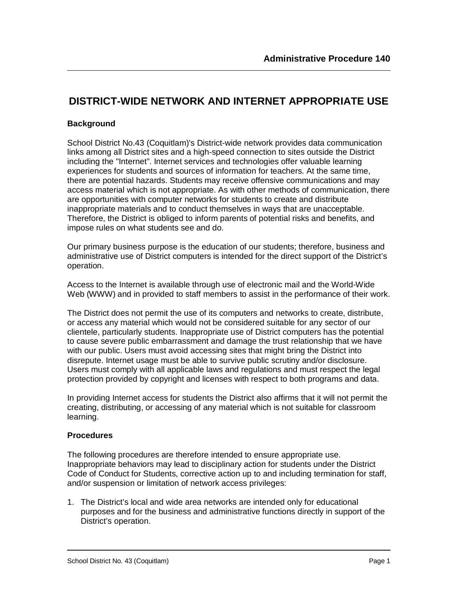## **DISTRICT-WIDE NETWORK AND INTERNET APPROPRIATE USE**

#### **Background**

School District No.43 (Coquitlam)'s District-wide network provides data communication links among all District sites and a high-speed connection to sites outside the District including the "Internet". Internet services and technologies offer valuable learning experiences for students and sources of information for teachers. At the same time, there are potential hazards. Students may receive offensive communications and may access material which is not appropriate. As with other methods of communication, there are opportunities with computer networks for students to create and distribute inappropriate materials and to conduct themselves in ways that are unacceptable. Therefore, the District is obliged to inform parents of potential risks and benefits, and impose rules on what students see and do.

Our primary business purpose is the education of our students; therefore, business and administrative use of District computers is intended for the direct support of the District's operation.

Access to the Internet is available through use of electronic mail and the World-Wide Web (WWW) and in provided to staff members to assist in the performance of their work.

The District does not permit the use of its computers and networks to create, distribute, or access any material which would not be considered suitable for any sector of our clientele, particularly students. Inappropriate use of District computers has the potential to cause severe public embarrassment and damage the trust relationship that we have with our public. Users must avoid accessing sites that might bring the District into disrepute. Internet usage must be able to survive public scrutiny and/or disclosure. Users must comply with all applicable laws and regulations and must respect the legal protection provided by copyright and licenses with respect to both programs and data.

In providing Internet access for students the District also affirms that it will not permit the creating, distributing, or accessing of any material which is not suitable for classroom learning.

#### **Procedures**

The following procedures are therefore intended to ensure appropriate use. Inappropriate behaviors may lead to disciplinary action for students under the District Code of Conduct for Students, corrective action up to and including termination for staff, and/or suspension or limitation of network access privileges:

1. The District's local and wide area networks are intended only for educational purposes and for the business and administrative functions directly in support of the District's operation.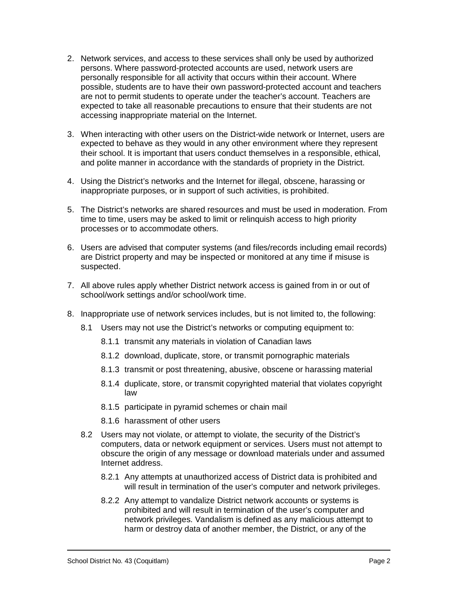- 2. Network services, and access to these services shall only be used by authorized persons. Where password-protected accounts are used, network users are personally responsible for all activity that occurs within their account. Where possible, students are to have their own password-protected account and teachers are not to permit students to operate under the teacher's account. Teachers are expected to take all reasonable precautions to ensure that their students are not accessing inappropriate material on the Internet.
- 3. When interacting with other users on the District-wide network or Internet, users are expected to behave as they would in any other environment where they represent their school. It is important that users conduct themselves in a responsible, ethical, and polite manner in accordance with the standards of propriety in the District.
- 4. Using the District's networks and the Internet for illegal, obscene, harassing or inappropriate purposes, or in support of such activities, is prohibited.
- 5. The District's networks are shared resources and must be used in moderation. From time to time, users may be asked to limit or relinquish access to high priority processes or to accommodate others.
- 6. Users are advised that computer systems (and files/records including email records) are District property and may be inspected or monitored at any time if misuse is suspected.
- 7. All above rules apply whether District network access is gained from in or out of school/work settings and/or school/work time.
- 8. Inappropriate use of network services includes, but is not limited to, the following:
	- 8.1 Users may not use the District's networks or computing equipment to:
		- 8.1.1 transmit any materials in violation of Canadian laws
		- 8.1.2 download, duplicate, store, or transmit pornographic materials
		- 8.1.3 transmit or post threatening, abusive, obscene or harassing material
		- 8.1.4 duplicate, store, or transmit copyrighted material that violates copyright law
		- 8.1.5 participate in pyramid schemes or chain mail
		- 8.1.6 harassment of other users
	- 8.2 Users may not violate, or attempt to violate, the security of the District's computers, data or network equipment or services. Users must not attempt to obscure the origin of any message or download materials under and assumed Internet address.
		- 8.2.1 Any attempts at unauthorized access of District data is prohibited and will result in termination of the user's computer and network privileges.
		- 8.2.2 Any attempt to vandalize District network accounts or systems is prohibited and will result in termination of the user's computer and network privileges. Vandalism is defined as any malicious attempt to harm or destroy data of another member, the District, or any of the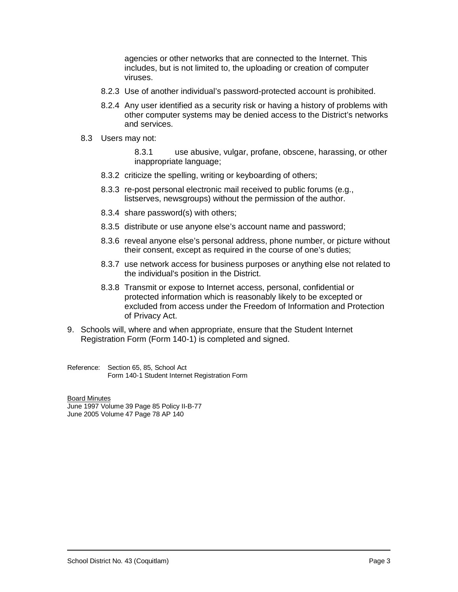agencies or other networks that are connected to the Internet. This includes, but is not limited to, the uploading or creation of computer viruses.

- 8.2.3 Use of another individual's password-protected account is prohibited.
- 8.2.4 Any user identified as a security risk or having a history of problems with other computer systems may be denied access to the District's networks and services.
- 8.3 Users may not:

8.3.1 use abusive, vulgar, profane, obscene, harassing, or other inappropriate language;

- 8.3.2 criticize the spelling, writing or keyboarding of others;
- 8.3.3 re-post personal electronic mail received to public forums (e.g., listserves, newsgroups) without the permission of the author.
- 8.3.4 share password(s) with others;
- 8.3.5 distribute or use anyone else's account name and password;
- 8.3.6 reveal anyone else's personal address, phone number, or picture without their consent, except as required in the course of one's duties;
- 8.3.7 use network access for business purposes or anything else not related to the individual's position in the District.
- 8.3.8 Transmit or expose to Internet access, personal, confidential or protected information which is reasonably likely to be excepted or excluded from access under the Freedom of Information and Protection of Privacy Act.
- 9. Schools will, where and when appropriate, ensure that the Student Internet Registration Form (Form 140-1) is completed and signed.

Reference: Section 65, 85, School Act Form 140-1 Student Internet Registration Form

Board Minutes

June 1997 Volume 39 Page 85 Policy II-B-77 June 2005 Volume 47 Page 78 AP 140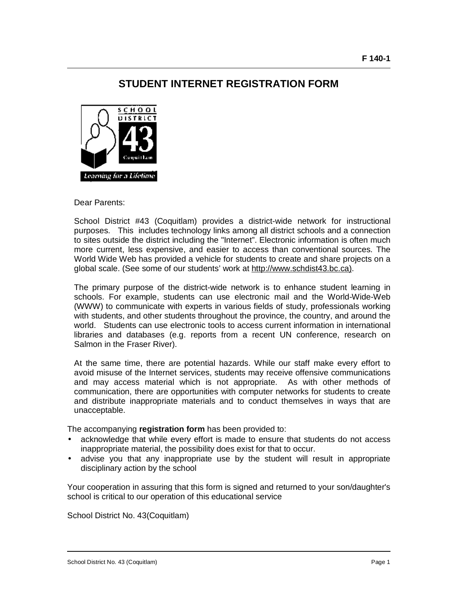### **STUDENT INTERNET REGISTRATION FORM**



Dear Parents:

School District #43 (Coquitlam) provides a district-wide network for instructional purposes. This includes technology links among all district schools and a connection to sites outside the district including the "Internet". Electronic information is often much more current, less expensive, and easier to access than conventional sources. The World Wide Web has provided a vehicle for students to create and share projects on a global scale. (See some of our students' work at [http://www.schdist43.bc.ca\)](http://www.schdist43.bc.ca)).

The primary purpose of the district-wide network is to enhance student learning in schools. For example, students can use electronic mail and the World-Wide-Web (WWW) to communicate with experts in various fields of study, professionals working with students, and other students throughout the province, the country, and around the world. Students can use electronic tools to access current information in international libraries and databases (e.g. reports from a recent UN conference, research on Salmon in the Fraser River).

At the same time, there are potential hazards. While our staff make every effort to avoid misuse of the Internet services, students may receive offensive communications and may access material which is not appropriate. As with other methods of communication, there are opportunities with computer networks for students to create and distribute inappropriate materials and to conduct themselves in ways that are unacceptable.

The accompanying **registration form** has been provided to:

- acknowledge that while every effort is made to ensure that students do not access inappropriate material, the possibility does exist for that to occur.
- advise you that any inappropriate use by the student will result in appropriate disciplinary action by the school

Your cooperation in assuring that this form is signed and returned to your son/daughter's school is critical to our operation of this educational service

School District No. 43(Coquitlam)